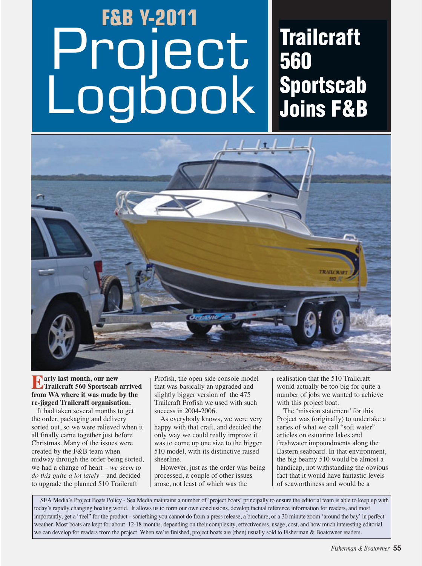## **F&B Y-2011**  Project Logbook **560**

# **Trailcraft Sportscab Joins F&B**



### **Early last month, our new Trailcraft 560 Sportscab arrived from WA where it was made by the re-jigged Trailcraft organisation.**

It had taken several months to get the order, packaging and delivery sorted out, so we were relieved when it all finally came together just before Christmas. Many of the issues were created by the F&B team when midway through the order being sorted, we had a change of heart – *we seem to do this quite a lot lately* – and decided to upgrade the planned 510 Trailcraft

Profish, the open side console model that was basically an upgraded and slightly bigger version of the 475 Trailcraft Profish we used with such success in 2004-2006.

As everybody knows, we were very happy with that craft, and decided the only way we could really improve it was to come up one size to the bigger 510 model, with its distinctive raised sheerline.

However, just as the order was being processed, a couple of other issues arose, not least of which was the

realisation that the 510 Trailcraft would actually be too big for quite a number of jobs we wanted to achieve with this project boat.

The 'mission statement' for this Project was (originally) to undertake a series of what we call "soft water" articles on estuarine lakes and freshwater impoundments along the Eastern seaboard. In that environment, the big beamy 510 would be almost a handicap, not withstanding the obvious fact that it would have fantastic levels of seaworthiness and would be a

SEA Media's Project Boats Policy - Sea Media maintains a number of 'project boats' principally to ensure the editorial team is able to keep up with today's rapidly changing boating world. It allows us to form our own conclusions, develop factual reference information for readers, and most importantly, get a "feel" for the product - something you cannot do from a press release, a brochure, or a 30 minute zoom 'around the bay' in perfect weather. Most boats are kept for about 12-18 months, depending on their complexity, effectiveness, usage, cost, and how much interesting editorial we can develop for readers from the project. When we're finished, project boats are (then) usually sold to Fisherman & Boatowner readers.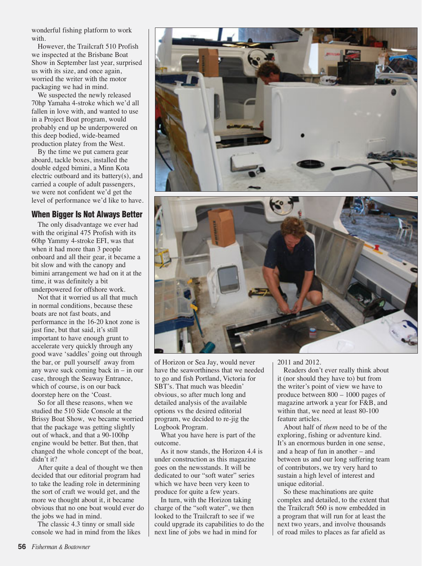wonderful fishing platform to work with.

However, the Trailcraft 510 Profish we inspected at the Brisbane Boat Show in September last year, surprised us with its size, and once again, worried the writer with the motor packaging we had in mind.

We suspected the newly released 70hp Yamaha 4-stroke which we'd all fallen in love with, and wanted to use in a Project Boat program, would probably end up be underpowered on this deep bodied, wide-beamed production platey from the West.

By the time we put camera gear aboard, tackle boxes, installed the double edged bimini, a Minn Kota electric outboard and its battery(s), and carried a couple of adult passengers, we were not confident we'd get the level of performance we'd like to have.

#### **When Bigger Is Not Always Better**

The only disadvantage we ever had with the original 475 Profish with its 60hp Yammy 4-stroke EFI, was that when it had more than 3 people onboard and all their gear, it became a bit slow and with the canopy and bimini arrangement we had on it at the time, it was definitely a bit underpowered for offshore work.

Not that it worried us all that much in normal conditions, because these boats are not fast boats, and performance in the 16-20 knot zone is just fine, but that said, it's still important to have enough grunt to accelerate very quickly through any good wave 'saddles' going out through the bar, or pull yourself away from any wave suck coming back in – in our case, through the Seaway Entrance, which of course, is on our back doorstep here on the 'Coast.

So for all these reasons, when we studied the 510 Side Console at the Brissy Boat Show, we became worried that the package was getting slightly out of whack, and that a 90-100hp engine would be better. But then, that changed the whole concept of the boat, didn't it?

After quite a deal of thought we then decided that our editorial program had to take the leading role in determining the sort of craft we would get, and the more we thought about it, it became obvious that no one boat would ever do the jobs we had in mind.

The classic 4.3 tinny or small side console we had in mind from the likes





of Horizon or Sea Jay, would never have the seaworthiness that we needed to go and fish Portland, Victoria for SBT's. That much was bleedin' obvious, so after much long and detailed analysis of the available options vs the desired editorial program, we decided to re-jig the Logbook Program.

What you have here is part of the outcome.

As it now stands, the Horizon 4.4 is under construction as this magazine goes on the newsstands. It will be dedicated to our "soft water" series which we have been very keen to produce for quite a few years.

In turn, with the Horizon taking charge of the "soft water", we then looked to the Trailcraft to see if we could upgrade its capabilities to do the next line of jobs we had in mind for

2011 and 2012.

Readers don't ever really think about it (nor should they have to) but from the writer's point of view we have to produce between 800 – 1000 pages of magazine artwork a year for F&B, and within that, we need at least 80-100 feature articles.

About half of *them* need to be of the exploring, fishing or adventure kind. It's an enormous burden in one sense, and a heap of fun in another – and between us and our long suffering team of contributors, we try very hard to sustain a high level of interest and unique editorial.

So these machinations are quite complex and detailed, to the extent that the Trailcraft 560 is now embedded in a program that will run for at least the next two years, and involve thousands of road miles to places as far afield as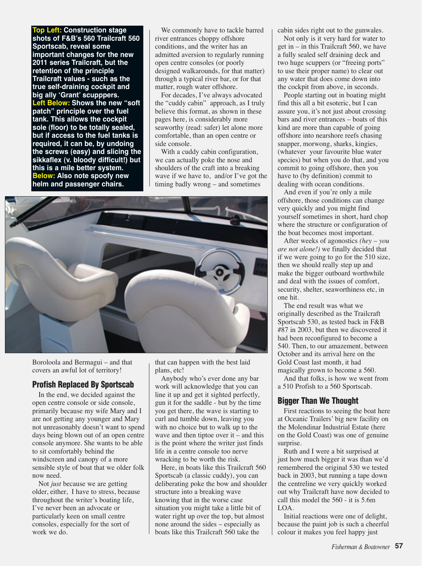**Top Left: Construction stage shots of F&B's 560 Trailcraft 560 Sportscab, reveal some important changes for the new 2011 series Trailcraft, but the retention of the principle Trailcraft values - such as the true self-draining cockpit and big ally ʻGrant' scupppers. Left Below: Shows the new "soft patch" principle over the fuel tank. This allows the cockpit sole (floor) to be totally sealed, but if access to the fuel tanks is required, it can be, by undoing the screws (easy) and slicing the sikkaflex (v. bloody difficult!) but this is a mile better system. Below: Also note spoofy new helm and passenger chairs.** 

We commonly have to tackle barred river entrances choppy offshore conditions, and the writer has an admitted aversion to regularly running open centre consoles (or poorly designed walkarounds, for that matter) through a typical river bar, or for that matter, rough water offshore.

For decades, I've always advocated the "cuddy cabin" approach, as I truly believe this format, as shown in these pages here, is considerably more seaworthy (read: safer) let alone more comfortable, than an open centre or side console.

With a cuddy cabin configuration, we can actually poke the nose and shoulders of the craft into a breaking wave if we have to, and/or I've got the timing badly wrong – and sometimes



Boroloola and Bermagui – and that covers an awful lot of territory!

#### **Profish Replaced By Sportscab**

In the end, we decided against the open centre console or side console, primarily because my wife Mary and I are not getting any younger and Mary not unreasonably doesn't want to spend days being blown out of an open centre console anymore. She wants to be able to sit comfortably behind the windscreen and canopy of a more sensible style of boat that we older folk now need.

Not *just* because we are getting older, either, I have to stress, because throughout the writer's boating life, I've never been an advocate or particularly keen on small centre consoles, especially for the sort of work we do.

that can happen with the best laid plans, etc!

Anybody who's ever done any bar work will acknowledge that you can line it up and get it sighted perfectly, gun it for the saddle - but by the time you get there, the wave is starting to curl and tumble down, leaving you with no choice but to walk up to the wave and then tiptoe over it – and this is the point where the writer just finds life in a centre console too nerve wracking to be worth the risk.

Here, in boats like this Trailcraft 560 Sportscab (a classic cuddy), you can deliberating poke the bow and shoulder structure into a breaking wave knowing that in the worse case situation you might take a little bit of water right up over the top, but almost none around the sides – especially as boats like this Trailcraft 560 take the

cabin sides right out to the gunwales.

Not only is it very hard for water to get in – in this Trailcraft 560, we have a fully sealed self draining deck and two huge scuppers (or "freeing ports" to use their proper name) to clear out any water that does come down into the cockpit from above, in seconds.

People starting out in boating might find this all a bit esoteric, but I can assure you, it's not just about crossing bars and river entrances – boats of this kind are more than capable of going offshore into nearshore reefs chasing snapper, morwong, sharks, kingies, (whatever your favourite blue water species) but when you do that, and you commit to going offshore, then you have to (by definition) commit to dealing with ocean conditions.

And even if you're only a mile offshore, those conditions can change very quickly and you might find yourself sometimes in short, hard chop where the structure or configuration of the boat becomes most important.

After weeks of agonostics *(hey – you are not alone!)* we finally decided that if we were going to go for the 510 size, then we should really step up and make the bigger outboard worthwhile and deal with the issues of comfort, security, shelter, seaworthiness etc, in one hit.

The end result was what we originally described as the Trailcraft Sportscab 530, as tested back in F&B #87 in 2003, but then we discovered it had been reconfigured to become a 540. Then, to our amazement, between October and its arrival here on the Gold Coast last month, it had magically grown to become a 560.

And that folks, is how we went from a 510 Profish to a 560 Sportscab.

#### **Bigger Than We Thought**

First reactions to seeing the boat here at Oceanic Trailers' big new facility on the Molendinar Industrial Estate (here on the Gold Coast) was one of genuine surprise.

Ruth and I were a bit surprised at just how much bigger it was than we'd remembered the original 530 we tested back in 2003, but running a tape down the centreline we very quickly worked out why Trailcraft have now decided to call this model the 560 - it is 5.6m LOA.

Initial reactions were one of delight, because the paint job is such a cheerful colour it makes you feel happy just